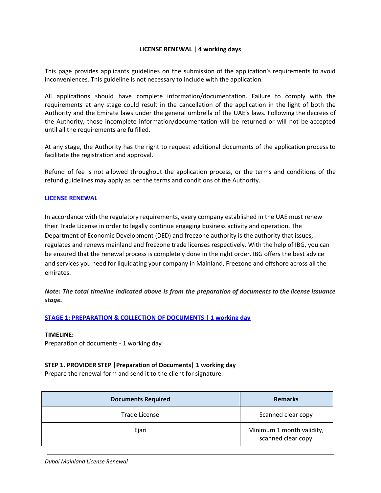## **LICENSE RENEWAL | 4 working days**

This page provides applicants guidelines on the submission of the application's requirements to avoid inconveniences. This guideline is not necessary to include with the application.

All applications should have complete information/documentation. Failure to comply with the requirements at any stage could result in the cancellation of the application in the light of both the Authority and the Emirate laws under the general umbrella of the UAE's laws. Following the decrees of the Authority, those incomplete information/documentation will be returned or will not be accepted until all the requirements are fulfilled.

At any stage, the Authority has the right to request additional documents of the application process to facilitate the registration and approval.

Refund of fee is not allowed throughout the application process, or the terms and conditions of the refund guidelines may apply as per the terms and conditions of the Authority.

#### **LICENSE RENEWAL**

In accordance with the regulatory requirements, every company established in the UAE must renew their Trade License in order to legally continue engaging business activity and operation. The Department of Economic Development (DED) and freezone authority is the authority that issues, regulates and renews mainland and freezone trade licenses respectively. With the help of IBG, you can be ensured that the renewal process is completely done in the right order. IBG offers the best advice and services you need for liquidating your company in Mainland, Freezone and offshore across all the emirates.

*Note: The total timeline indicated above is from the preparation of documents to the license issuance stage.*

## **STAGE 1: PREPARATION & COLLECTION OF DOCUMENTS | 1 working day**

#### **TIMELINE:**

Preparation of documents - 1 working day

#### **STEP 1. PROVIDER STEP |Preparation of Documents| 1 working day**

Prepare the renewal form and send it to the client for signature.

| <b>Documents Required</b> | <b>Remarks</b>                                  |
|---------------------------|-------------------------------------------------|
| Trade License             | Scanned clear copy                              |
| Ejari                     | Minimum 1 month validity,<br>scanned clear copy |